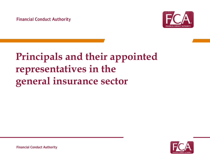

# **Principals and their appointed representatives in the general insurance sector**

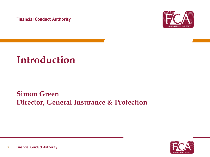**Financial Conduct Authority** 



### **Introduction**

### **Simon Green Director, General Insurance & Protection**

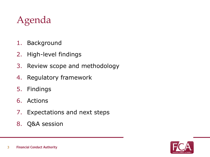# Agenda

- 1. Background
- 2. High-level findings
- 3. Review scope and methodology
- 4. Regulatory framework
- 5. Findings
- 6. Actions
- 7. Expectations and next steps
- 8. Q&A session

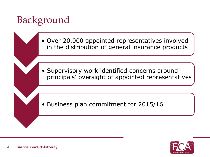# Background

• Over 20,000 appointed representatives involved in the distribution of general insurance products

• Supervisory work identified concerns around principals' oversight of appointed representatives

• Business plan commitment for 2015/16

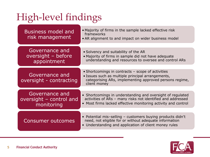# High-level findings

| <b>Business model and</b><br>risk management            | • Majority of firms in the sample lacked effective risk<br>frameworks<br>• AR alignment to and impact on wider business model                                                              |
|---------------------------------------------------------|--------------------------------------------------------------------------------------------------------------------------------------------------------------------------------------------|
| Governance and<br>oversight - before<br>appointment     | • Solvency and suitability of the AR<br>• Majority of firms in sample did not have adequate<br>understanding and resources to oversee and control ARs                                      |
| Governance and<br>oversight - contracting               | • Shortcomings in contracts - scope of activities<br>• Issues such as multiple principal arrangements,<br>categorising ARs, implementing approved persons regime,<br>client money          |
| Governance and<br>oversight - control and<br>monitoring | • Shortcomings in understanding and oversight of regulated<br>activities of ARs - many risks not identified and addressed<br>• Most firms lacked effective monitoring activity and control |
| <b>Consumer outcomes</b>                                | • Potential mis-selling - customers buying products didn't<br>need, not eligible for or without adequate information<br>• Understanding and application of client money rules              |

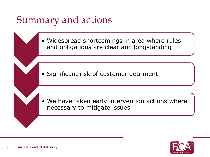## Summary and actions

• Widespread shortcomings in area where rules and obligations are clear and longstanding

• Significant risk of customer detriment

• We have taken early intervention actions where necessary to mitigate issues

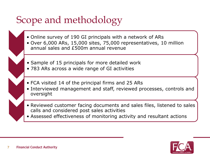## Scope and methodology

- Online survey of 190 GI principals with a network of ARs
- Over 6,000 ARs, 15,000 sites, 75,000 representatives, 10 million annual sales and £500m annual revenue
- Sample of 15 principals for more detailed work
- 783 ARs across a wide range of GI activities
- FCA visited 14 of the principal firms and 25 ARs
- Interviewed management and staff, reviewed processes, controls and oversight
- Reviewed customer facing documents and sales files, listened to sales calls and considered post sales activities
- Assessed effectiveness of monitoring activity and resultant actions

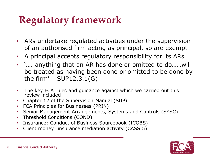## **Regulatory framework**

- ARs undertake regulated activities under the supervision of an authorised firm acting as principal, so are exempt
- A principal accepts regulatory responsibility for its ARs
- '…..anything that an AR has done or omitted to do……will be treated as having been done or omitted to be done by the firm' – SUP12.3.1(G)
- The key FCA rules and guidance against which we carried out this review included:
- Chapter 12 of the Supervision Manual (SUP)
- FCA Principles for Businesses (PRIN)
- Senior Management Arrangements, Systems and Controls (SYSC)
- Threshold Conditions (COND)
- Insurance: Conduct of Business Sourcebook (ICOBS)
- Client money: insurance mediation activity (CASS 5)

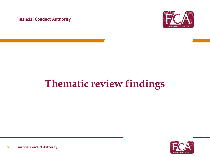**Financial Conduct Authority** 



# **Thematic review findings**

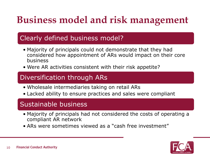# **Business model and risk management**

### Clearly defined business model?

- Majority of principals could not demonstrate that they had considered how appointment of ARs would impact on their core business
- Were AR activities consistent with their risk appetite?

### Diversification through ARs

- Wholesale intermediaries taking on retail ARs
- Lacked ability to ensure practices and sales were compliant

### Sustainable business

- Majority of principals had not considered the costs of operating a compliant AR network
- ARs were sometimes viewed as a "cash free investment"

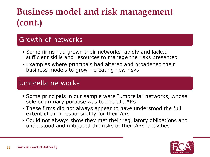## **Business model and risk management (cont.)**

### Growth of networks

- Some firms had grown their networks rapidly and lacked sufficient skills and resources to manage the risks presented
- Examples where principals had altered and broadened their business models to grow - creating new risks

### Umbrella networks

- Some principals in our sample were "umbrella" networks, whose sole or primary purpose was to operate ARs
- These firms did not always appear to have understood the full extent of their responsibility for their ARs
- Could not always show they met their regulatory obligations and understood and mitigated the risks of their ARs' activities

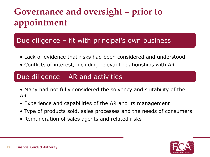## **Governance and oversight – prior to appointment**

### Due diligence – fit with principal's own business

- Lack of evidence that risks had been considered and understood
- Conflicts of interest, including relevant relationships with AR

### Due diligence – AR and activities

- Many had not fully considered the solvency and suitability of the AR
- Experience and capabilities of the AR and its management
- Type of products sold, sales processes and the needs of consumers
- Remuneration of sales agents and related risks

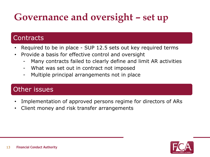# **Governance and oversight – set up**

### **Contracts**

- Required to be in place SUP 12.5 sets out key required terms
- Provide a basis for effective control and oversight
	- Many contracts failed to clearly define and limit AR activities
	- What was set out in contract not imposed
	- Multiple principal arrangements not in place

### Other issues

- Implementation of approved persons regime for directors of ARs
- Client money and risk transfer arrangements

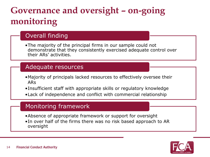## **Governance and oversight – on-going monitoring**

### Overall finding

•The majority of the principal firms in our sample could not demonstrate that they consistently exercised adequate control over their ARs' activities.

### Adequate resources

- •Majority of principals lacked resources to effectively oversee their ARs
- •Insufficient staff with appropriate skills or regulatory knowledge
- •Lack of independence and conflict with commercial relationship

### Monitoring framework

- •Absence of appropriate framework or support for oversight
- •In over half of the firms there was no risk based approach to AR oversight

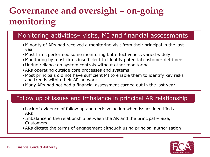## **Governance and oversight – on-going monitoring**

### Monitoring activities– visits, MI and financial assessments

- •Minority of ARs had received a monitoring visit from their principal in the last year
- •Most firms performed some monitoring but effectiveness varied widely
- •Monitoring by most firms insufficient to identify potential customer detriment
- •Undue reliance on system controls without other monitoring
- •ARs operating outside core processes and systems
- •Most principals did not have sufficient MI to enable them to identify key risks and trends within their AR network
- •Many ARs had not had a financial assessment carried out in the last year

### Follow up of issues and imbalance in principal AR relationship

- •Lack of evidence of follow up and decisive action when issues identified at ARs
- •Imbalance in the relationship between the AR and the principal Size, **Customers**
- •ARs dictate the terms of engagement although using principal authorisation

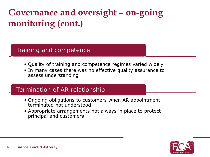## **Governance and oversight – on-going monitoring (cont.)**

### Training and competence

- Quality of training and competence regimes varied widely
- In many cases there was no effective quality assurance to assess understanding

### Termination of AR relationship

- Ongoing obligations to customers when AR appointment terminated not understood
- Appropriate arrangements not always in place to protect principal and customers

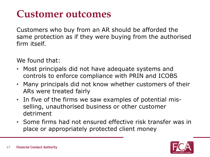## **Customer outcomes**

Customers who buy from an AR should be afforded the same protection as if they were buying from the authorised firm itself.

We found that:

- Most principals did not have adequate systems and controls to enforce compliance with PRIN and ICOBS
- Many principals did not know whether customers of their ARs were treated fairly
- In five of the firms we saw examples of potential misselling, unauthorised business or other customer detriment
- Some firms had not ensured effective risk transfer was in place or appropriately protected client money

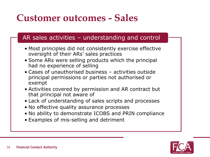## **Customer outcomes - Sales**

### AR sales activities – understanding and control

- Most principles did not consistently exercise effective oversight of their ARs' sales practices
- Some ARs were selling products which the principal had no experience of selling
- Cases of unauthorised business activities outside principal permissions or parties not authorised or exempt
- Activities covered by permission and AR contract but that principal not aware of
- Lack of understanding of sales scripts and processes
- No effective quality assurance processes
- No ability to demonstrate ICOBS and PRIN compliance
- Examples of mis-selling and detriment

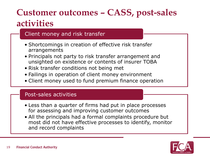### **Customer outcomes – CASS, post-sales activities**

### Client money and risk transfer

- Shortcomings in creation of effective risk transfer arrangements
- Principals not party to risk transfer arrangement and unsighted on existence or contents of insurer TOBA
- Risk transfer conditions not being met
- Failings in operation of client money environment
- Client money used to fund premium finance operation

#### Post-sales activities

- Less than a quarter of firms had put in place processes for assessing and improving customer outcomes
- All the principals had a formal complaints procedure but most did not have effective processes to identify, monitor and record complaints

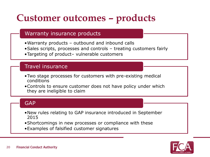## **Customer outcomes – products**

### Warranty insurance products

- •Warranty products outbound and inbound calls
- •Sales scripts, processes and controls treating customers fairly
- •Targeting of product– vulnerable customers

#### Travel insurance

- •Two stage processes for customers with pre-existing medical conditions
- •Controls to ensure customer does not have policy under which they are ineligible to claim

#### **GAP**

- •New rules relating to GAP insurance introduced in September 2015
- •Shortcomings in new processes or compliance with these
- •Examples of falsified customer signatures

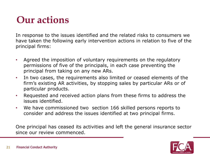## **Our actions**

In response to the issues identified and the related risks to consumers we have taken the following early intervention actions in relation to five of the principal firms:

- Agreed the imposition of voluntary requirements on the regulatory permissions of five of the principals, in each case preventing the principal from taking on any new ARs.
- In two cases, the requirements also limited or ceased elements of the firm's existing AR activities, by stopping sales by particular ARs or of particular products.
- Requested and received action plans from these firms to address the issues identified.
- We have commissioned two section 166 skilled persons reports to consider and address the issues identified at two principal firms.

One principal has ceased its activities and left the general insurance sector since our review commenced.

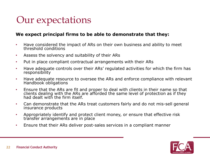## Our expectations

#### **We expect principal firms to be able to demonstrate that they:**

- Have considered the impact of ARs on their own business and ability to meet threshold conditions
- Assess the solvency and suitability of their ARs
- Put in place compliant contractual arrangements with their ARs
- Have adequate controls over their ARs' regulated activities for which the firm has responsibility
- Have adequate resource to oversee the ARs and enforce compliance with relevant Handbook obligations
- Ensure that the ARs are fit and proper to deal with clients in their name so that clients dealing with the ARs are afforded the same level of protection as if they had dealt with the firm itself.
- Can demonstrate that the ARs treat customers fairly and do not mis-sell general insurance products
- Appropriately identify and protect client money, or ensure that effective risk transfer arrangements are in place
- Ensure that their ARs deliver post-sales services in a compliant manner

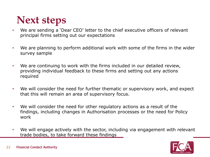## **Next steps**

- We are sending a 'Dear CEO' letter to the chief executive officers of relevant principal firms setting out our expectations
- We are planning to perform additional work with some of the firms in the wider survey sample
- We are continuing to work with the firms included in our detailed review, providing individual feedback to these firms and setting out any actions required
- We will consider the need for further thematic or supervisory work, and expect that this will remain an area of supervisory focus.
- We will consider the need for other regulatory actions as a result of the findings, including changes in Authorisation processes or the need for Policy work
- We will engage actively with the sector, including via engagement with relevant trade bodies, to take forward these findings